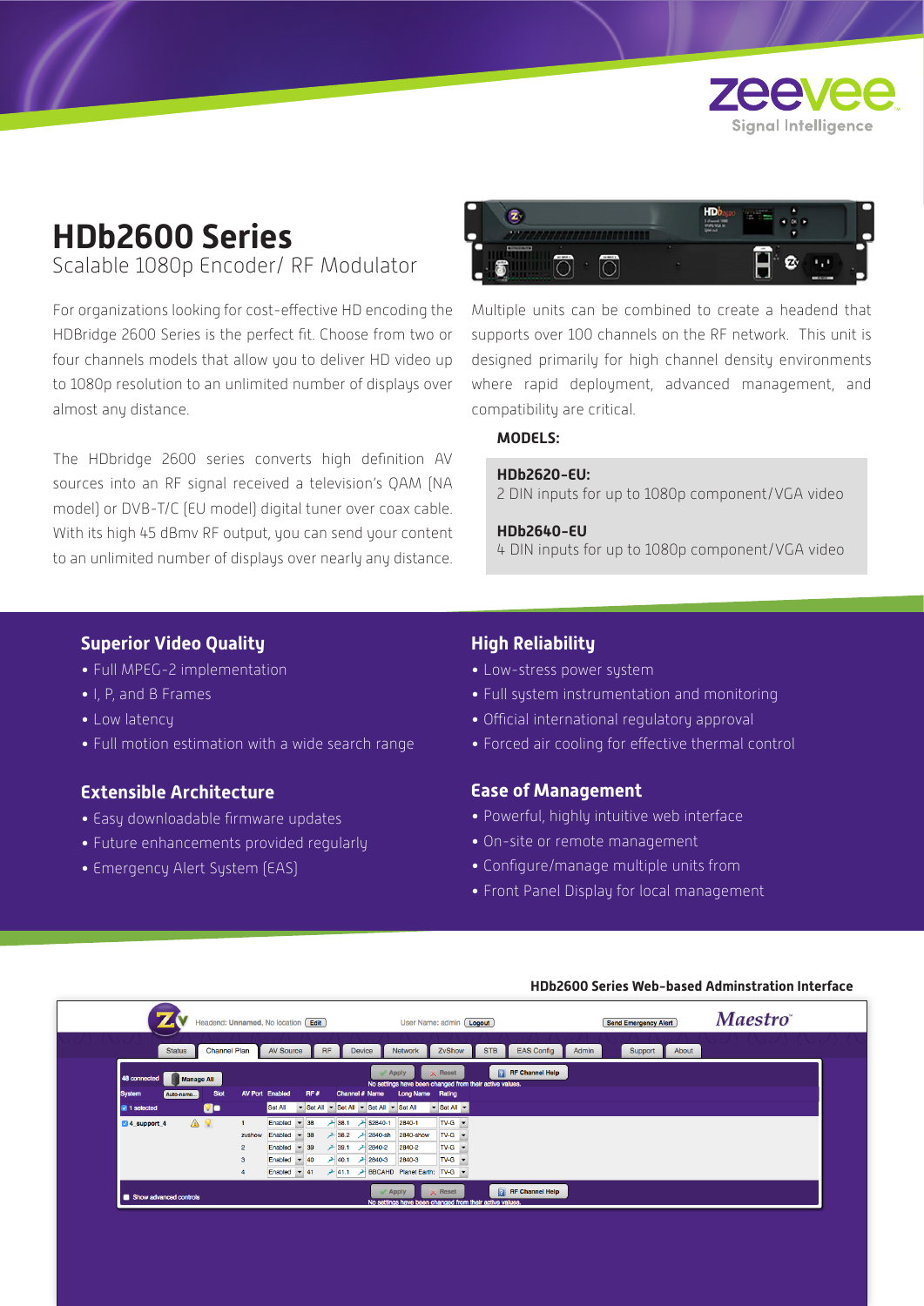

# **HDb2600 Series** Scalable 1080p Encoder/ RF Modulator

For organizations looking for cost-effective HD encoding the HDBridge 2600 Series is the perfect fit. Choose from two or four channels models that allow you to deliver HD video up to 1080p resolution to an unlimited number of displays over almost any distance.

The HDbridge 2600 series converts high definition AV sources into an RF signal received a television's QAM (NA model) or DVB-T/C (EU model) digital tuner over coax cable. With its high 45 dBmv RF output, you can send your content to an unlimited number of displays over nearly any distance.



Multiple units can be combined to create a headend that supports over 100 channels on the RF network. This unit is designed primarily for high channel density environments where rapid deployment, advanced management, and compatibility are critical.

### **MODELS:**

#### **HDb2620-EU:**

2 DIN inputs for up to 1080p component/VGA video

#### **HDb2640-EU**

4 DIN inputs for up to 1080p component/VGA video

### **Superior Video Quality**

- Full MPEG-2 implementation
- I, P, and B Frames
- Low latency
- Full motion estimation with a wide search range

# **Extensible Architecture**

- Easy downloadable firmware updates
- Future enhancements provided regularly
- Emergency Alert System (EAS)

# **High Reliability**

- Low-stress power system
- Full system instrumentation and monitoring
- Official international regulatory approval
- Forced air cooling for effective thermal control

# **Ease of Management**

- Powerful, highly intuitive web interface
- On-site or remote management
- Configure/manage multiple units from
- Front Panel Display for local management

#### **HDb2600 Series Web-based Adminstration Interface**

|                        |               | Headend: Unnamed, No location Edit |             |                                     |              |            |                |                                       | User Name: admin [ Logout ]                             |                                                     |            |                        |       | <b>Send Emergency Alert</b> |       | <b>Maestro</b> |  |
|------------------------|---------------|------------------------------------|-------------|-------------------------------------|--------------|------------|----------------|---------------------------------------|---------------------------------------------------------|-----------------------------------------------------|------------|------------------------|-------|-----------------------------|-------|----------------|--|
|                        | <b>Status</b> | <b>Channel Plan</b>                |             | <b>AV Source</b>                    |              | <b>RF</b>  | <b>Device</b>  |                                       | <b>Network</b>                                          | ZvShow                                              | <b>STB</b> | <b>EAS Config</b>      | Admin | Support                     | About |                |  |
| 48 connected           | Manage All    |                                    |             |                                     |              |            |                | $\mathcal$ Apply                      | No settings have been changed from their active values. | $\times$ Reset                                      |            | <b>RF</b> Channel Help |       |                             |       |                |  |
| <b>System</b>          | Auto-name     | <b>Slot</b>                        |             | <b>AV Port Enabled</b>              | RF#          |            | Channel # Name |                                       | Long Name Rating                                        |                                                     |            |                        |       |                             |       |                |  |
| $\sqrt{1}$ selected    |               | <b>Qo</b>                          |             | Set All                             |              |            |                | Set All - Set All - Set All - Set All |                                                         | $\blacktriangleright$ Set All $\blacktriangleright$ |            |                        |       |                             |       |                |  |
| 4 support 4            |               | △♀                                 |             | Enabled<br>$\overline{\phantom{a}}$ | 38           | 28.1       |                | $2840-1$                              | 2840-1                                                  | $TV-G$ $\rightarrow$                                |            |                        |       |                             |       |                |  |
|                        |               |                                    | zvshow      | Enabled                             | $-38$        | $+ 38.2$   |                | <b>→ 2840-sh</b>                      | 2840-show                                               | $TV-G$ $\rightarrow$                                |            |                        |       |                             |       |                |  |
|                        |               |                                    | $2^{\circ}$ | Enabled                             | $-39$        | $\ge$ 39.1 |                | $2840 - 2$                            | 2840-2                                                  | $TV-G$ $\rightarrow$                                |            |                        |       |                             |       |                |  |
|                        |               |                                    | 3           | Enabled<br>$\overline{\phantom{a}}$ | $ 40\rangle$ | 240.1      |                | $2840-3$                              | 2840-3                                                  | $TV-G$ $\rightarrow$                                |            |                        |       |                             |       |                |  |
|                        |               |                                    |             | Enabled $\blacktriangledown$ 41     |              |            |                |                                       | → 41.1 → BBCAHD Planet Earth: TV-G ▼                    |                                                     |            |                        |       |                             |       |                |  |
| Show advanced controls |               |                                    |             |                                     |              |            |                | $\mathcal$ Apply                      | No settings have been changed from their active values. | $\times$ Reset                                      |            | <b>RF</b> Channel Help |       |                             |       |                |  |